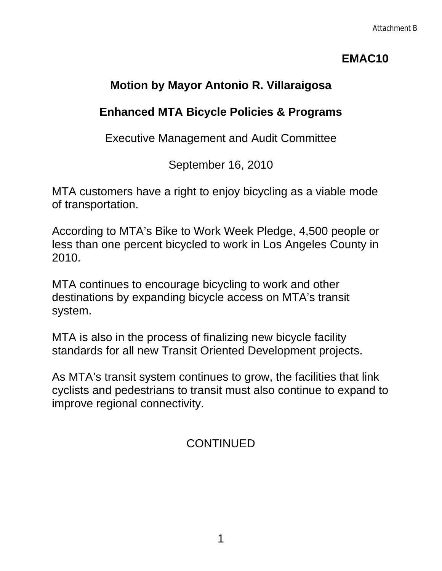## **EMAC10**

# **Motion by Mayor Antonio R. Villaraigosa**

## **Enhanced MTA Bicycle Policies & Programs**

Executive Management and Audit Committee

September 16, 2010

MTA customers have a right to enjoy bicycling as a viable mode of transportation.

According to MTA's Bike to Work Week Pledge, 4,500 people or less than one percent bicycled to work in Los Angeles County in 2010.

MTA continues to encourage bicycling to work and other destinations by expanding bicycle access on MTA's transit system.

MTA is also in the process of finalizing new bicycle facility standards for all new Transit Oriented Development projects.

As MTA's transit system continues to grow, the facilities that link cyclists and pedestrians to transit must also continue to expand to improve regional connectivity.

# **CONTINUED**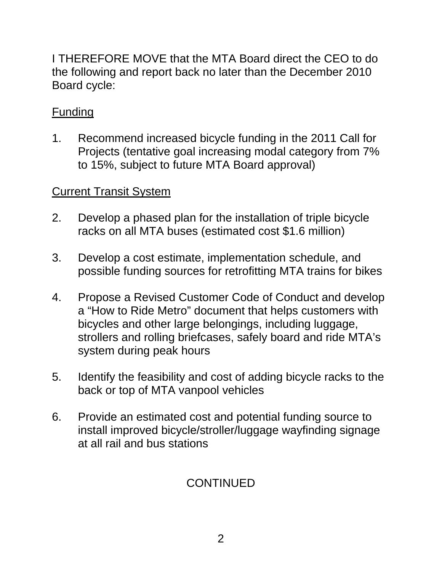I THEREFORE MOVE that the MTA Board direct the CEO to do the following and report back no later than the December 2010 Board cycle:

### Funding

1. Recommend increased bicycle funding in the 2011 Call for Projects (tentative goal increasing modal category from 7% to 15%, subject to future MTA Board approval)

### Current Transit System

- 2. Develop a phased plan for the installation of triple bicycle racks on all MTA buses (estimated cost \$1.6 million)
- 3. Develop a cost estimate, implementation schedule, and possible funding sources for retrofitting MTA trains for bikes
- 4. Propose a Revised Customer Code of Conduct and develop a "How to Ride Metro" document that helps customers with bicycles and other large belongings, including luggage, strollers and rolling briefcases, safely board and ride MTA's system during peak hours
- 5. Identify the feasibility and cost of adding bicycle racks to the back or top of MTA vanpool vehicles
- 6. Provide an estimated cost and potential funding source to install improved bicycle/stroller/luggage wayfinding signage at all rail and bus stations

# CONTINUED